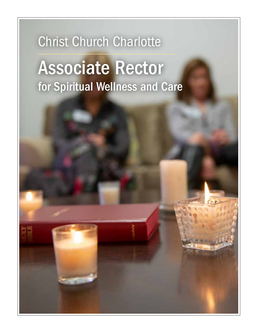## Christ Church Charlotte

# Associate Rector for Spiritual Wellness and Care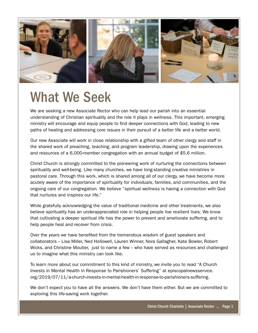

### What We Seek

We are seeking a new Associate Rector who can help lead our parish into an essential understanding of Christian spirituality and the role it plays in wellness. This important, emerging ministry will encourage and equip people to find deeper connections with God, leading to new paths of healing and addressing core issues in their pursuit of a better life and a better world.

Our new Associate will work in close relationship with a gifted team of other clergy and staff in the shared work of preaching, teaching, and program leadership, drawing upon the experiences and resources of a 6,000-member congregation with an annual budget of \$5.6 million.

Christ Church is strongly committed to the pioneering work of nurturing the connections between spirituality and well-being. Like many churches, we have long-standing creative ministries in pastoral care. Through this work, which is shared among all of our clergy, we have become more acutely aware of the importance of spirituality for individuals, families, and communities, and the ongoing care of our congregation. We believe "spiritual wellness is having a connection with God that nurtures and inspires our life."

While gratefully acknowledging the value of traditional medicine and other treatments, we also believe spirituality has an underappreciated role in helping people live resilient lives. We know that cultivating a deeper spiritual life has the power to prevent and ameliorate suffering, and to help people heal and recover from crisis.

Over the years we have benefited from the tremendous wisdom of guest speakers and collaborators -- Lisa Miller, Ned Hollowell, Lauren Winner, Nora Gallagher, Kate Bowler, Robert Wicks, and Christine Moutier, just to name a few - who have served as resources and challenged us to imagine what this ministry can look like.

To learn more about our commitment to this kind of ministry, we invite you to read "A Church Invests in Mental Health in Response to Parishioners' Suffering" at episcopalnewsservice. org/2019/07/11/a-church-invests-in-mental-health-in-response-to-parishioners-suffering.

We don't expect you to have all the answers. We don't have them either. But we are committed to exploring this life-saving work together.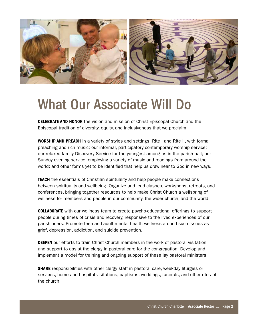

### What Our Associate Will Do

**CELEBRATE AND HONOR** the vision and mission of Christ Episcopal Church and the Episcopal tradition of diversity, equity, and inclusiveness that we proclaim.

WORSHIP AND PREACH in a variety of styles and settings: Rite I and Rite II, with formal preaching and rich music; our informal, participatory contemporary worship service; our relaxed family Discovery Service for the youngest among us in the parish hall; our Sunday evening service, employing a variety of music and readings from around the world; and other forms yet to be identified that help us draw near to God in new ways.

**TEACH** the essentials of Christian spirituality and help people make connections between spirituality and wellbeing. Organize and lead classes, workshops, retreats, and conferences, bringing together resources to help make Christ Church a wellspring of wellness for members and people in our community, the wider church, and the world.

COLLABORATE with our wellness team to create psycho-educational offerings to support people during times of crisis and recovery, responsive to the lived experiences of our parishioners. Promote teen and adult mental health wellness around such issues as grief, depression, addiction, and suicide prevention.

**DEEPEN** our efforts to train Christ Church members in the work of pastoral visitation and support to assist the clergy in pastoral care for the congregation. Develop and implement a model for training and ongoing support of these lay pastoral ministers.

**SHARE** responsibilities with other clergy staff in pastoral care, weekday liturgies or services, home and hospital visitations, baptisms, weddings, funerals, and other rites of the church.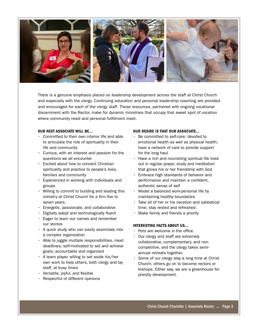

There is a genuine emphasis placed on leadership development across the staff at Christ Church and especially with the clergy. Continuing education and personal leadership coaching are provided and encouraged for each of the clergy staff. These resources, partnered with ongoing vocational discernment with the Rector, make for dynamic ministries that occupy that sweet spot of vocation where community need and personal fulfillment meet.

#### OUR NEXT ASSOCIATE WILL BE...

- Committed to their own interior life and able to articulate the role of spirituality in their life and community
- Curious, with an interest and passion for the questions we all encounter
- Excited about how to connect Christian spirituality and practice to people's lives, families and community
- Experienced in working with individuals and groups
- Willing to commit to building and leading this ministry at Christ Church for a firm five to seven years.
- Energetic, passionate, and collaborative
- $\cdot$  Digitally adept and technologically fluent
- Eager to learn our names and remember our stories
- A quick study who can easily assimilate into a complex organization
- Able to juggle multiple responsibilities, meet deadlines; self-motivated to set and achieve goals; accountable and organized
- A team player, willing to set aside his/her own work to help others, both clergy and lay staff, at busy times
- $\cdot$  Versatile, joyful, and flexible
- Respectful of different opinions

#### OUR DESIRE IS THAT OUR ASSOCIATE...

- Be committed to self-care; devoted to emotional health as well as physical health; have a network of care to provide support for the long haul
- Have a rich and nourishing spiritual life lived out in regular prayer, study and meditation that grows his or her friendship with God
- Embrace high standards of behavior and performance and maintain a confident, authentic sense of self
- Model a balanced work-personal life by maintaining healthy boundaries
- Take all of her or his vacation and sabbatical time; stay rested and refreshed
- Make family and friends a priority

#### INTERESTING FACTS ABOUT US...

- Pets are welcome in the office.
- Our clergy and staff are extremely collaborative, complementary, and noncompetitive, and the clergy takes semiannual retreats together.
- Some of our clergy stay a long time at Christ Church; others go on to become rectors or bishops. Either way, we are a greenhouse for priestly development.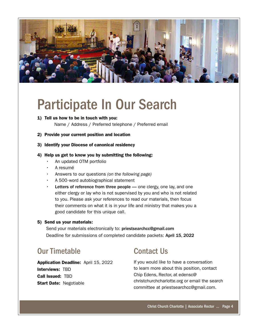

## Participate In Our Search

1) Tell us how to be in touch with you:

Name / Address / Preferred telephone / Preferred email

- 2) Provide your current position and location
- 3) Identify your Diocese of canonical residency

#### 4) Help us get to know you by submitting the following:

- An updated OTM portfolio
- A resumé
- Answers to our questions *(on the following page)*
- A 500-word autobiographical statement
- Letters of reference from three people one clergy, one lay, and one either clergy or lay who is not supervised by you and who is not related to you. Please ask your references to read our materials, then focus their comments on what it is in your life and ministry that makes you a good candidate for this unique call.

#### 5) Send us your materials:

Send your materials electronically to: priestsearchcc@gmail.com Deadline for submissions of completed candidate packets: April 15, 2022

### Our Timetable

Application Deadline: April 15, 2022 Interviews: TBD Call Issued: TBD **Start Date: Negotiable** 

### Contact Us

If you would like to have a conversation to learn more about this position, contact Chip Edens, Rector, at edensc@ christchurchcharlotte.org or email the search committee at priestsearchcc@gmail.com.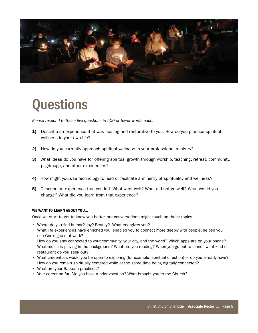

### **Questions**

*Please respond to these five questions in 500 or fewer words each:*

- 1) Describe an experience that was healing and restorative to you. How do you practice spiritual wellness in your own life?
- 2) How do you currently approach spiritual wellness in your professional ministry?
- 3) What ideas do you have for offering spiritual growth through worship, teaching, retreat, community, pilgrimage, and other experiences?
- 4) How might you use technology to lead or facilitate a ministry of spirituality and wellness?
- 5) Describe an experience that you led. What went well? What did not go well? What would you change? What did you learn from that experience?

#### WE WANT TO LEARN ABOUT YOU...

Once we start to get to know you better, our conversations might touch on these topics:

- Where do you find humor? Joy? Beauty? What energizes you?
- What life experiences have enriched you, enabled you to connect more deeply with people, helped you see God's grace at work?
- How do you stay connected to your community, your city, and the world? Which apps are on your phone? What music is playing in the background? What are you reading? When you go out to dinner, what kind of restaurant do you seek out?
- What credentials would you be open to exploring (for example, spiritual direction) or do you already have?
- How do you remain spiritually centered while at the same time being digitally connected?
- What are your Sabbath practices?
- Your career so far. Did you have a prior vocation? What brought you to the Church?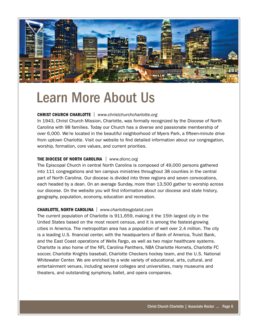

### Learn More About Us

#### CHRIST CHURCH CHARLOTTE | *www.christchurchcharlotte.org*

In 1943, Christ Church Mission, Charlotte, was formally recognized by the Diocese of North Carolina with 98 families. Today our Church has a diverse and passionate membership of over 6,000. We're located in the beautiful neighborhood of Myers Park, a fifteen-minute drive from uptown Charlotte. Visit our website to find detailed information about our congregation, worship, formation, core values, and current priorities.

#### THE DIOCESE OF NORTH CAROLINA | *www.dionc.org*

The Episcopal Church in central North Carolina is composed of 49,000 persons gathered into 111 congregations and ten campus ministries throughout 38 counties in the central part of North Carolina. Our diocese is divided into three regions and seven convocations, each headed by a dean. On an average Sunday, more than 13,500 gather to worship across our diocese. On the website you will find information about our diocese and state history, geography, population, economy, education and recreation.

#### CHARLOTTE, NORTH CAROLINA | *www.charlottesgotalot.com*

The current population of Charlotte is 911,659, making it the 15th largest city in the United States based on the most recent census, and it is among the fastest-growing cities in America. The metropolitan area has a population of well over 2.4 million. The city is a leading U.S. financial center, with the headquarters of Bank of America, Truist Bank, and the East Coast operations of Wells Fargo, as well as two major healthcare systems. Charlotte is also home of the NFL Carolina Panthers, NBA Charlotte Hornets, Charlotte FC soccer, Charlotte Knights baseball, Charlotte Checkers hockey team, and the U.S. National Whitewater Center. We are enriched by a wide variety of educational, arts, cultural, and entertainment venues, including several colleges and universities, many museums and theaters, and outstanding symphony, ballet, and opera companies.